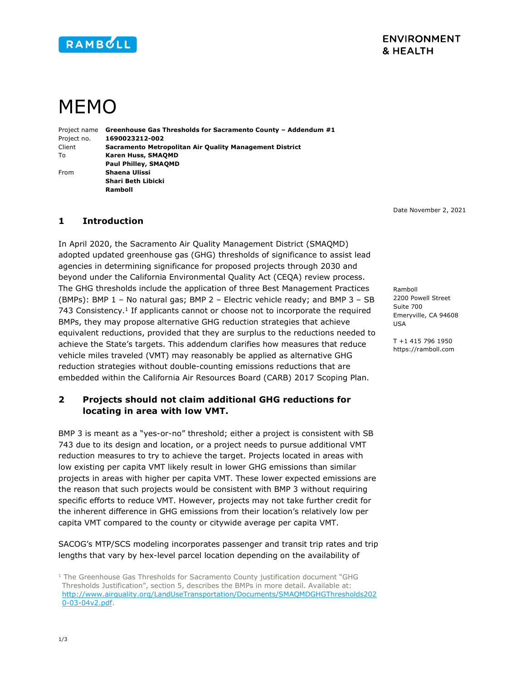

## **ENVIRONMENT** & HEALTH

# MEMO

Project name Greenhouse Gas Thresholds for Sacramento County - Addendum #1 Project no. 1690023212-002 Client Sacramento Metropolitan Air Quality Management District To Karen Huss, SMAQMD Paul Philley, SMAQMD From Shaena Ulissi Shari Beth Libicki Ramboll

Date November 2, 2021

#### 1 Introduction

In April 2020, the Sacramento Air Quality Management District (SMAQMD) adopted updated greenhouse gas (GHG) thresholds of significance to assist lead agencies in determining significance for proposed projects through 2030 and beyond under the California Environmental Quality Act (CEQA) review process. The GHG thresholds include the application of three Best Management Practices (BMPs): BMP 1 – No natural gas; BMP 2 – Electric vehicle ready; and BMP 3 – SB 743 Consistency.<sup>1</sup> If applicants cannot or choose not to incorporate the required BMPs, they may propose alternative GHG reduction strategies that achieve equivalent reductions, provided that they are surplus to the reductions needed to achieve the State's targets. This addendum clarifies how measures that reduce vehicle miles traveled (VMT) may reasonably be applied as alternative GHG reduction strategies without double-counting emissions reductions that are embedded within the California Air Resources Board (CARB) 2017 Scoping Plan.

#### 2 Projects should not claim additional GHG reductions for locating in area with low VMT.

BMP 3 is meant as a "yes-or-no" threshold; either a project is consistent with SB 743 due to its design and location, or a project needs to pursue additional VMT reduction measures to try to achieve the target. Projects located in areas with low existing per capita VMT likely result in lower GHG emissions than similar projects in areas with higher per capita VMT. These lower expected emissions are the reason that such projects would be consistent with BMP 3 without requiring specific efforts to reduce VMT. However, projects may not take further credit for the inherent difference in GHG emissions from their location's relatively low per capita VMT compared to the county or citywide average per capita VMT.

SACOG's MTP/SCS modeling incorporates passenger and transit trip rates and trip lengths that vary by hex-level parcel location depending on the availability of

2200 Powell Street Suite 700 Emeryville, CA 94608 USA

Ramboll

T +1 415 796 1950 https://ramboll.com

<sup>&</sup>lt;sup>1</sup> The Greenhouse Gas Thresholds for Sacramento County justification document "GHG Thresholds Justification", section 5, describes the BMPs in more detail. Available at: http://www.airquality.org/LandUseTransportation/Documents/SMAQMDGHGThresholds202 0-03-04v2.pdf.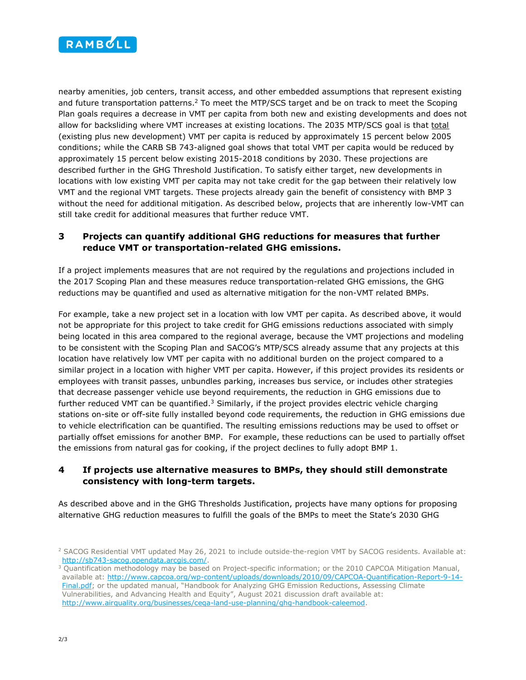

nearby amenities, job centers, transit access, and other embedded assumptions that represent existing and future transportation patterns.<sup>2</sup> To meet the MTP/SCS target and be on track to meet the Scoping Plan goals requires a decrease in VMT per capita from both new and existing developments and does not allow for backsliding where VMT increases at existing locations. The 2035 MTP/SCS goal is that total (existing plus new development) VMT per capita is reduced by approximately 15 percent below 2005 conditions; while the CARB SB 743-aligned goal shows that total VMT per capita would be reduced by approximately 15 percent below existing 2015-2018 conditions by 2030. These projections are described further in the GHG Threshold Justification. To satisfy either target, new developments in locations with low existing VMT per capita may not take credit for the gap between their relatively low VMT and the regional VMT targets. These projects already gain the benefit of consistency with BMP 3 without the need for additional mitigation. As described below, projects that are inherently low-VMT can still take credit for additional measures that further reduce VMT.

### 3 Projects can quantify additional GHG reductions for measures that further reduce VMT or transportation-related GHG emissions.

If a project implements measures that are not required by the regulations and projections included in the 2017 Scoping Plan and these measures reduce transportation-related GHG emissions, the GHG reductions may be quantified and used as alternative mitigation for the non-VMT related BMPs.

For example, take a new project set in a location with low VMT per capita. As described above, it would not be appropriate for this project to take credit for GHG emissions reductions associated with simply being located in this area compared to the regional average, because the VMT projections and modeling to be consistent with the Scoping Plan and SACOG's MTP/SCS already assume that any projects at this location have relatively low VMT per capita with no additional burden on the project compared to a similar project in a location with higher VMT per capita. However, if this project provides its residents or employees with transit passes, unbundles parking, increases bus service, or includes other strategies that decrease passenger vehicle use beyond requirements, the reduction in GHG emissions due to further reduced VMT can be quantified.<sup>3</sup> Similarly, if the project provides electric vehicle charging stations on-site or off-site fully installed beyond code requirements, the reduction in GHG emissions due to vehicle electrification can be quantified. The resulting emissions reductions may be used to offset or partially offset emissions for another BMP. For example, these reductions can be used to partially offset the emissions from natural gas for cooking, if the project declines to fully adopt BMP 1.

#### 4 If projects use alternative measures to BMPs, they should still demonstrate consistency with long-term targets.

As described above and in the GHG Thresholds Justification, projects have many options for proposing alternative GHG reduction measures to fulfill the goals of the BMPs to meet the State's 2030 GHG

<sup>2</sup> SACOG Residential VMT updated May 26, 2021 to include outside-the-region VMT by SACOG residents. Available at: http://sb743-sacog.opendata.arcgis.com/.

<sup>&</sup>lt;sup>3</sup> Quantification methodology may be based on Project-specific information; or the 2010 CAPCOA Mitigation Manual, available at: http://www.capcoa.org/wp-content/uploads/downloads/2010/09/CAPCOA-Quantification-Report-9-14- Final.pdf; or the updated manual, "Handbook for Analyzing GHG Emission Reductions, Assessing Climate Vulnerabilities, and Advancing Health and Equity", August 2021 discussion draft available at: http://www.airquality.org/businesses/ceqa-land-use-planning/ghg-handbook-caleemod.